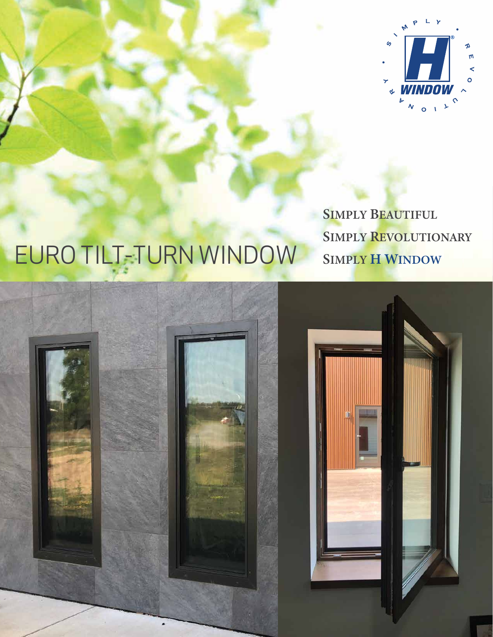

## **SIMPLY BEAUTIFUL** SIMPLY REVOLUTIONARY EURO TILT-TURN WINDOW SIMPLY H WINDOW